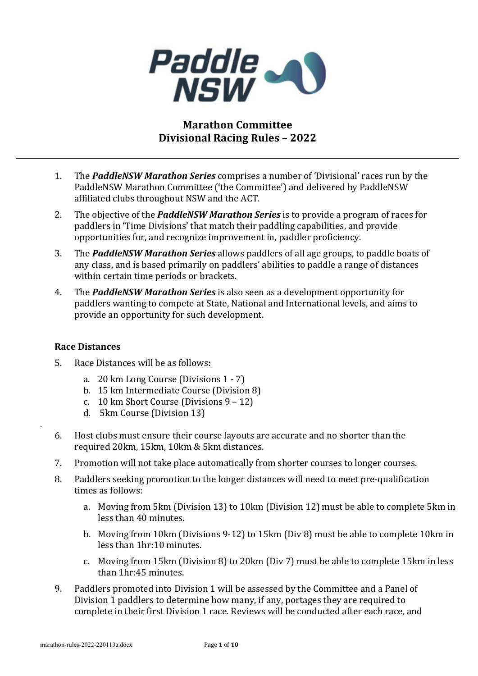

# **Marathon Committee Divisional Racing Rules – 2022**

- 1. The *PaddleNSW Marathon Series* comprises a number of 'Divisional' races run by the PaddleNSW Marathon Committee ('the Committee') and delivered by PaddleNSW affiliated clubs throughout NSW and the ACT.
- 2. The objective of the **PaddleNSW Marathon Series** is to provide a program of races for paddlers in 'Time Divisions' that match their paddling capabilities, and provide opportunities for, and recognize improvement in, paddler proficiency.
- 3. The **PaddleNSW Marathon Series** allows paddlers of all age groups, to paddle boats of any class, and is based primarily on paddlers' abilities to paddle a range of distances within certain time periods or brackets.
- 4. The **PaddleNSW Marathon Series** is also seen as a development opportunity for paddlers wanting to compete at State, National and International levels, and aims to provide an opportunity for such development.

# **Race Distances**

.

- 5. Race Distances will be as follows:
	- a. 20 km Long Course (Divisions 1 7)
	- b. 15 km Intermediate Course (Division 8)
	- c. 10 km Short Course (Divisions  $9 12$ )
	- d. 5km Course (Division 13)
- 6. Host clubs must ensure their course layouts are accurate and no shorter than the required 20km, 15km, 10km & 5km distances.
- 7. Promotion will not take place automatically from shorter courses to longer courses.
- 8. Paddlers seeking promotion to the longer distances will need to meet pre-qualification times as follows:
	- a. Moving from 5km (Division 13) to 10km (Division 12) must be able to complete 5km in less than 40 minutes.
	- b. Moving from 10km (Divisions 9-12) to 15km (Div 8) must be able to complete 10km in less than 1hr:10 minutes.
	- c. Moving from 15km (Division 8) to 20km (Div 7) must be able to complete 15km in less than 1hr:45 minutes.
- 9. Paddlers promoted into Division 1 will be assessed by the Committee and a Panel of Division 1 paddlers to determine how many, if any, portages they are required to complete in their first Division 1 race. Reviews will be conducted after each race, and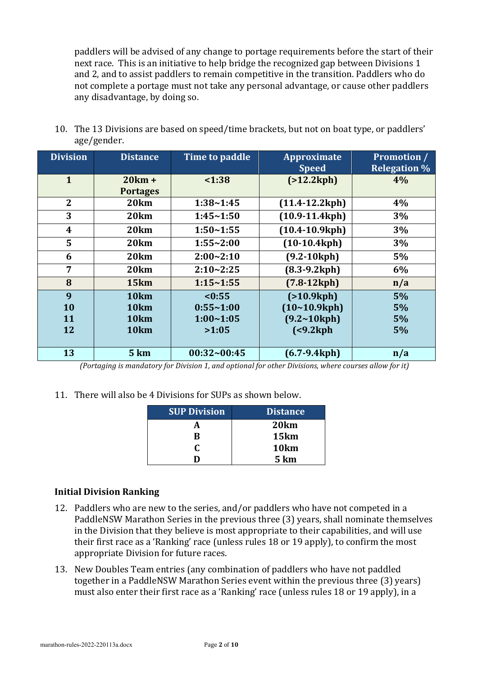paddlers will be advised of any change to portage requirements before the start of their next race. This is an initiative to help bridge the recognized gap between Divisions 1 and 2, and to assist paddlers to remain competitive in the transition. Paddlers who do not complete a portage must not take any personal advantage, or cause other paddlers any disadvantage, by doing so.

| <b>Division</b> | <b>Distance</b>             | Time to paddle | Approximate<br><b>Speed</b>         | <b>Promotion</b> /<br><b>Relegation %</b> |
|-----------------|-----------------------------|----------------|-------------------------------------|-------------------------------------------|
| $\mathbf{1}$    | $20km +$<br><b>Portages</b> | 1:38           | (>12.2kph)                          | 4%                                        |
| $\overline{2}$  | 20 <sub>km</sub>            | 1:38~1:45      | $(11.4 - 12.2$ kph $)$              | 4%                                        |
| 3               | 20km                        | 1:45~1:50      | $(10.9-11.4kph)$                    | 3%                                        |
| 4               | 20 <sub>km</sub>            | $1:50 - 1:55$  | $(10.4 - 10.9$ kph $)$              | 3%                                        |
| 5               | 20 <sub>km</sub>            | $1:55 - 2:00$  | $(10-10.4kph)$                      | 3%                                        |
| 6               | 20km                        | $2:00 - 2:10$  | $(9.2 - 10kph)$                     | 5%                                        |
| $\overline{7}$  | 20 <sub>km</sub>            | $2:10 - 2:25$  | $(8.3-9.2kph)$                      | 6%                                        |
| 8               | 15km                        | $1:15 - 1:55$  | $(7.8-12kph)$                       | n/a                                       |
| 9               | 10 <sub>km</sub>            | < 0:55         | (>10.9kph)                          | 5%                                        |
| 10              | 10 <sub>km</sub>            | $0:55 - 1:00$  | (10~10.9kph)                        | 5%                                        |
| <b>11</b>       | 10 <sub>km</sub>            | $1:00 - 1:05$  | $(9.2~10$ kph)                      | 5%                                        |
| 12              | 10 <sub>km</sub>            | >1:05          | $\left( < 9.2 \mathrm{kph} \right)$ | 5%                                        |
| 13              | 5 km                        | 00:32~00:45    | $(6.7-9.4kph)$                      | n/a                                       |

10. The 13 Divisions are based on speed/time brackets, but not on boat type, or paddlers' age/gender.

*(Portaging is mandatory for Division 1, and optional for other Divisions, where courses allow for it)* 

11. There will also be 4 Divisions for SUPs as shown below.

| <b>SUP Division</b> | <b>Distance</b>  |
|---------------------|------------------|
|                     | 20km             |
| R                   | 15km             |
| r                   | 10 <sub>km</sub> |
| . .                 | 5 km             |

# **Initial Division Ranking**

- 12. Paddlers who are new to the series, and/or paddlers who have not competed in a PaddleNSW Marathon Series in the previous three (3) years, shall nominate themselves in the Division that they believe is most appropriate to their capabilities, and will use their first race as a 'Ranking' race (unless rules  $18$  or  $19$  apply), to confirm the most appropriate Division for future races.
- 13. New Doubles Team entries (any combination of paddlers who have not paddled together in a PaddleNSW Marathon Series event within the previous three (3) years) must also enter their first race as a 'Ranking' race (unless rules 18 or 19 apply), in a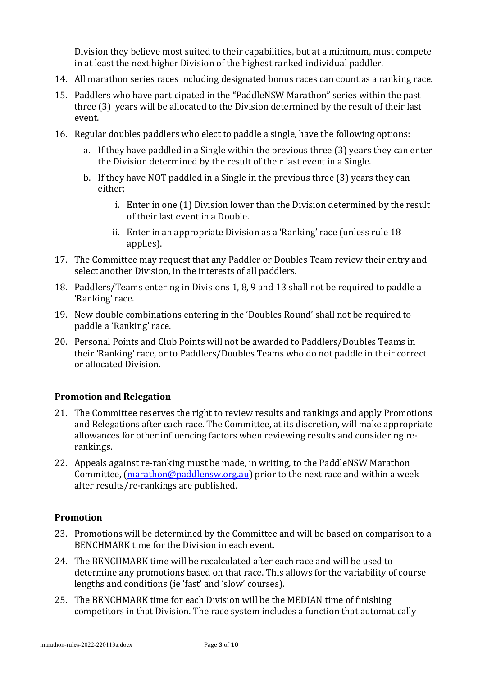Division they believe most suited to their capabilities, but at a minimum, must compete in at least the next higher Division of the highest ranked individual paddler.

- 14. All marathon series races including designated bonus races can count as a ranking race.
- 15. Paddlers who have participated in the "PaddleNSW Marathon" series within the past three (3) years will be allocated to the Division determined by the result of their last event.
- 16. Regular doubles paddlers who elect to paddle a single, have the following options:
	- a. If they have paddled in a Single within the previous three (3) years they can enter the Division determined by the result of their last event in a Single.
	- b. If they have NOT paddled in a Single in the previous three  $(3)$  years they can either;
		- i. Enter in one (1) Division lower than the Division determined by the result of their last event in a Double.
		- ii. Enter in an appropriate Division as a 'Ranking' race (unless rule  $18$ ) applies).
- 17. The Committee may request that any Paddler or Doubles Team review their entry and select another Division, in the interests of all paddlers.
- 18. Paddlers/Teams entering in Divisions 1, 8, 9 and 13 shall not be required to paddle a 'Ranking' race.
- 19. New double combinations entering in the 'Doubles Round' shall not be required to paddle a 'Ranking' race.
- 20. Personal Points and Club Points will not be awarded to Paddlers/Doubles Teams in their 'Ranking' race, or to Paddlers/Doubles Teams who do not paddle in their correct or allocated Division.

# **Promotion and Relegation**

- 21. The Committee reserves the right to review results and rankings and apply Promotions and Relegations after each race. The Committee, at its discretion, will make appropriate allowances for other influencing factors when reviewing results and considering rerankings.
- 22. Appeals against re-ranking must be made, in writing, to the PaddleNSW Marathon Committee,  $(\text{marathon@paddlensw.org.au})$  prior to the next race and within a week after results/re-rankings are published.

# **Promotion**

- 23. Promotions will be determined by the Committee and will be based on comparison to a BENCHMARK time for the Division in each event.
- 24. The BENCHMARK time will be recalculated after each race and will be used to determine any promotions based on that race. This allows for the variability of course lengths and conditions (ie 'fast' and 'slow' courses).
- 25. The BENCHMARK time for each Division will be the MEDIAN time of finishing competitors in that Division. The race system includes a function that automatically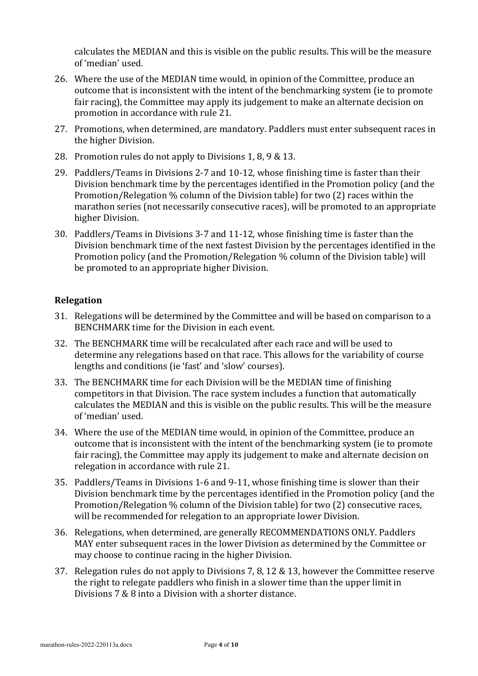calculates the MEDIAN and this is visible on the public results. This will be the measure of 'median' used.

- 26. Where the use of the MEDIAN time would, in opinion of the Committee, produce an outcome that is inconsistent with the intent of the benchmarking system (ie to promote fair racing), the Committee may apply its judgement to make an alternate decision on promotion in accordance with rule 21.
- 27. Promotions, when determined, are mandatory. Paddlers must enter subsequent races in the higher Division.
- 28. Promotion rules do not apply to Divisions 1, 8, 9 & 13.
- 29. Paddlers/Teams in Divisions 2-7 and 10-12, whose finishing time is faster than their Division benchmark time by the percentages identified in the Promotion policy (and the Promotion/Relegation  $%$  column of the Division table) for two (2) races within the marathon series (not necessarily consecutive races), will be promoted to an appropriate higher Division.
- 30. Paddlers/Teams in Divisions 3-7 and 11-12, whose finishing time is faster than the Division benchmark time of the next fastest Division by the percentages identified in the Promotion policy (and the Promotion/Relegation % column of the Division table) will be promoted to an appropriate higher Division.

# **Relegation**

- 31. Relegations will be determined by the Committee and will be based on comparison to a BENCHMARK time for the Division in each event.
- 32. The BENCHMARK time will be recalculated after each race and will be used to determine any relegations based on that race. This allows for the variability of course lengths and conditions (ie 'fast' and 'slow' courses).
- 33. The BENCHMARK time for each Division will be the MEDIAN time of finishing competitors in that Division. The race system includes a function that automatically calculates the MEDIAN and this is visible on the public results. This will be the measure of 'median' used.
- 34. Where the use of the MEDIAN time would, in opinion of the Committee, produce an outcome that is inconsistent with the intent of the benchmarking system (ie to promote fair racing), the Committee may apply its judgement to make and alternate decision on relegation in accordance with rule 21.
- 35. Paddlers/Teams in Divisions 1-6 and 9-11, whose finishing time is slower than their Division benchmark time by the percentages identified in the Promotion policy (and the Promotion/Relegation  $\%$  column of the Division table) for two (2) consecutive races, will be recommended for relegation to an appropriate lower Division.
- 36. Relegations, when determined, are generally RECOMMENDATIONS ONLY. Paddlers MAY enter subsequent races in the lower Division as determined by the Committee or may choose to continue racing in the higher Division.
- 37. Relegation rules do not apply to Divisions 7, 8, 12 & 13, however the Committee reserve the right to relegate paddlers who finish in a slower time than the upper limit in Divisions  $7 & 8 & 8$  into a Division with a shorter distance.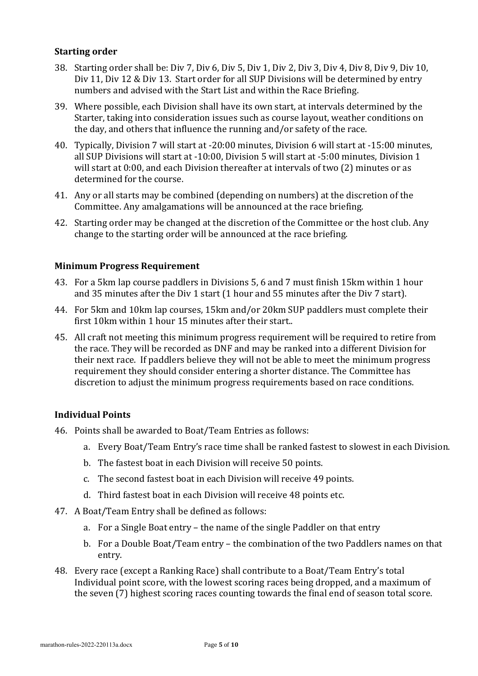### **Starting order**

- 38. Starting order shall be: Div 7, Div 6, Div 5, Div 1, Div 2, Div 3, Div 4, Div 8, Div 9, Div 10, Div 11, Div 12 & Div 13. Start order for all SUP Divisions will be determined by entry numbers and advised with the Start List and within the Race Briefing.
- 39. Where possible, each Division shall have its own start, at intervals determined by the Starter, taking into consideration issues such as course layout, weather conditions on the day, and others that influence the running and/or safety of the race.
- 40. Typically, Division 7 will start at -20:00 minutes, Division 6 will start at -15:00 minutes, all SUP Divisions will start at -10:00, Division 5 will start at -5:00 minutes, Division 1 will start at  $0:00$ , and each Division thereafter at intervals of two  $(2)$  minutes or as determined for the course.
- 41. Any or all starts may be combined (depending on numbers) at the discretion of the Committee. Any amalgamations will be announced at the race briefing.
- 42. Starting order may be changed at the discretion of the Committee or the host club. Any change to the starting order will be announced at the race briefing.

# **Minimum Progress Requirement**

- 43. For a 5km lap course paddlers in Divisions 5, 6 and 7 must finish 15km within 1 hour and 35 minutes after the Div 1 start (1 hour and 55 minutes after the Div 7 start).
- 44. For 5km and 10km lap courses, 15km and/or 20km SUP paddlers must complete their first 10km within 1 hour 15 minutes after their start..
- 45. All craft not meeting this minimum progress requirement will be required to retire from the race. They will be recorded as DNF and may be ranked into a different Division for their next race. If paddlers believe they will not be able to meet the minimum progress requirement they should consider entering a shorter distance. The Committee has discretion to adjust the minimum progress requirements based on race conditions.

#### **Individual Points**

- 46. Points shall be awarded to Boat/Team Entries as follows:
	- a. Every Boat/Team Entry's race time shall be ranked fastest to slowest in each Division.
	- b. The fastest boat in each Division will receive 50 points.
	- c. The second fastest boat in each Division will receive 49 points.
	- d. Third fastest boat in each Division will receive 48 points etc.
- 47. A Boat/Team Entry shall be defined as follows:
	- a. For a Single Boat entry the name of the single Paddler on that entry
	- b. For a Double Boat/Team entry the combination of the two Paddlers names on that entry.
- 48. Every race (except a Ranking Race) shall contribute to a Boat/Team Entry's total Individual point score, with the lowest scoring races being dropped, and a maximum of the seven (7) highest scoring races counting towards the final end of season total score.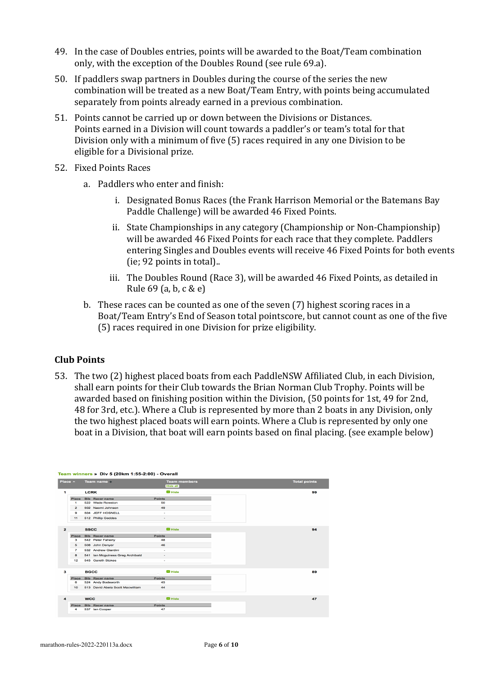- 49. In the case of Doubles entries, points will be awarded to the Boat/Team combination only, with the exception of the Doubles Round (see rule 69.a).
- 50. If paddlers swap partners in Doubles during the course of the series the new combination will be treated as a new Boat/Team Entry, with points being accumulated separately from points already earned in a previous combination.
- 51. Points cannot be carried up or down between the Divisions or Distances. Points earned in a Division will count towards a paddler's or team's total for that Division only with a minimum of five (5) races required in any one Division to be eligible for a Divisional prize.
- 52. Fixed Points Races
	- a. Paddlers who enter and finish:
		- i. Designated Bonus Races (the Frank Harrison Memorial or the Batemans Bay Paddle Challenge) will be awarded 46 Fixed Points.
		- ii. State Championships in any category (Championship or Non-Championship) will be awarded 46 Fixed Points for each race that they complete. Paddlers entering Singles and Doubles events will receive 46 Fixed Points for both events  $(ie; 92 points in total)$ ..
		- iii. The Doubles Round (Race 3), will be awarded 46 Fixed Points, as detailed in Rule  $69$  (a, b, c & e)
	- b. These races can be counted as one of the seven (7) highest scoring races in a Boat/Team Entry's End of Season total pointscore, but cannot count as one of the five (5) races required in one Division for prize eligibility.

# **Club Points**

53. The two (2) highest placed boats from each PaddleNSW Affiliated Club, in each Division, shall earn points for their Club towards the Brian Norman Club Trophy. Points will be awarded based on finishing position within the Division, (50 points for 1st, 49 for 2nd, 48 for 3rd, etc.). Where a Club is represented by more than 2 boats in any Division, only the two highest placed boats will earn points. Where a Club is represented by only one boat in a Division, that boat will earn points based on final placing. (see example below)

| Team winners » Div 5 (20km 1:55-2:00) - Overall |                |                                  |                                        |                     |
|-------------------------------------------------|----------------|----------------------------------|----------------------------------------|---------------------|
| Place $\sim$                                    |                | Team name =                      | <b>Team members</b><br><b>Hide all</b> | <b>Total points</b> |
| 1                                               |                | <b>LCRK</b>                      | $\blacksquare$ Hide                    |                     |
|                                                 | Place          | <b>Bib</b> Racer name            | <b>Points</b>                          |                     |
|                                                 | 1              | 522 Wade Rowston                 | 50                                     |                     |
|                                                 | $\overline{2}$ | 502 Naomi Johnson                | 49                                     |                     |
|                                                 | 9              | 504 JEFF HOSNELL                 | ٠                                      |                     |
|                                                 | 11             | 512 Phillip Geddes               | ٠                                      |                     |
| $\overline{2}$                                  |                | <b>SSCC</b>                      | $\blacksquare$ Hide                    |                     |
|                                                 | Place          | <b>Bib</b> Racer name            | <b>Points</b>                          |                     |
|                                                 | з              | 542 Peter Faherty                | 48                                     |                     |
|                                                 | 5              | 508 John Denyer                  | 46                                     |                     |
|                                                 | $\overline{7}$ | 532 Andrew Giardini              | ÷                                      |                     |
|                                                 | 8              | 541 Ian Mcguiness Greg Archibald | ٠                                      |                     |
|                                                 | 12             | 545 Gareth Stokes                | ٠                                      |                     |
| з                                               |                | <b>BGCC</b>                      | $\blacksquare$ Hide                    |                     |
|                                                 | Place          | <b>Bib</b> Racer name            | <b>Points</b>                          |                     |
|                                                 | 6              | 524 Andy Bodsworth               | 45                                     |                     |
|                                                 | 10             | 513 David Abela Scott Macwilliam | 44                                     |                     |
| 4                                               |                | <b>WCC</b>                       | $\blacksquare$ Hide                    |                     |
|                                                 | Place          | <b>Bib</b> Racer name            | <b>Points</b>                          |                     |
|                                                 | 4              | 537 Ian Cooper                   | 47                                     |                     |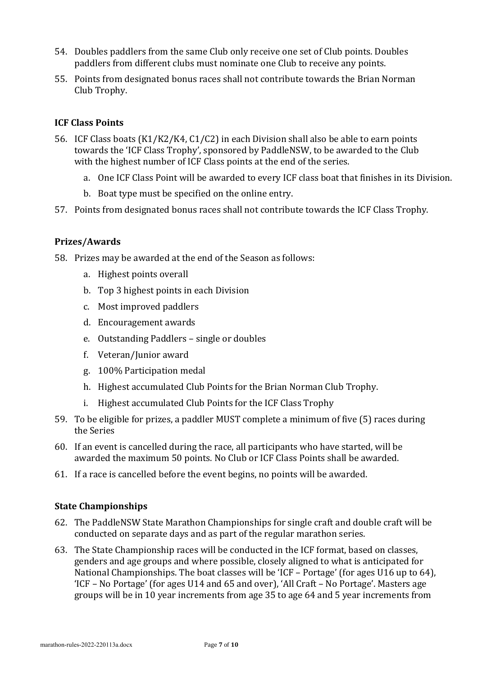- 54. Doubles paddlers from the same Club only receive one set of Club points. Doubles paddlers from different clubs must nominate one Club to receive any points.
- 55. Points from designated bonus races shall not contribute towards the Brian Norman Club Trophy.

# **ICF Class Points**

- 56. ICF Class boats (K1/K2/K4, C1/C2) in each Division shall also be able to earn points towards the 'ICF Class Trophy', sponsored by PaddleNSW, to be awarded to the Club with the highest number of ICF Class points at the end of the series.
	- a. One ICF Class Point will be awarded to every ICF class boat that finishes in its Division.
	- b. Boat type must be specified on the online entry.
- 57. Points from designated bonus races shall not contribute towards the ICF Class Trophy.

# **Prizes/Awards**

58. Prizes may be awarded at the end of the Season as follows:

- a. Highest points overall
- b. Top 3 highest points in each Division
- c. Most improved paddlers
- d. Encouragement awards
- e. Outstanding Paddlers single or doubles
- f. Veteran/Junior award
- g. 100% Participation medal
- h. Highest accumulated Club Points for the Brian Norman Club Trophy.
- i. Highest accumulated Club Points for the ICF Class Trophy
- 59. To be eligible for prizes, a paddler MUST complete a minimum of five (5) races during the Series
- 60. If an event is cancelled during the race, all participants who have started, will be awarded the maximum 50 points. No Club or ICF Class Points shall be awarded.
- 61. If a race is cancelled before the event begins, no points will be awarded.

# **State Championships**

- 62. The PaddleNSW State Marathon Championships for single craft and double craft will be conducted on separate days and as part of the regular marathon series.
- 63. The State Championship races will be conducted in the ICF format, based on classes, genders and age groups and where possible, closely aligned to what is anticipated for National Championships. The boat classes will be 'ICF – Portage' (for ages U16 up to 64), 'ICF – No Portage' (for ages U14 and 65 and over), 'All Craft – No Portage'. Masters age groups will be in 10 year increments from age 35 to age 64 and 5 year increments from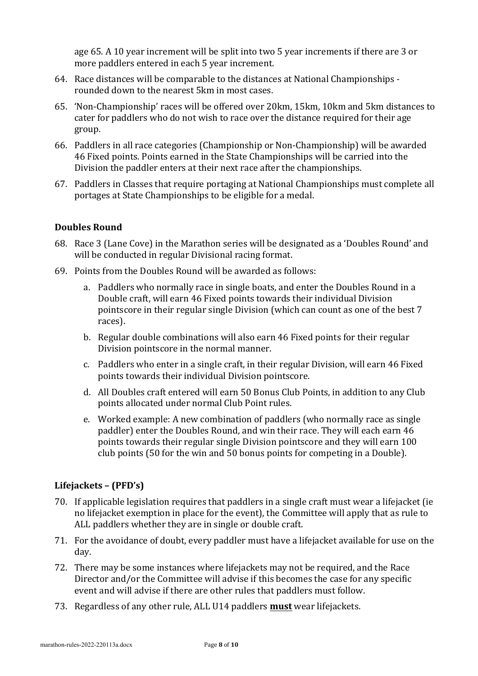age 65. A 10 year increment will be split into two 5 year increments if there are 3 or more paddlers entered in each 5 year increment.

- 64. Race distances will be comparable to the distances at National Championships rounded down to the nearest 5km in most cases.
- 65. 'Non-Championship' races will be offered over 20km, 15km, 10km and 5km distances to cater for paddlers who do not wish to race over the distance required for their age group.
- 66. Paddlers in all race categories (Championship or Non-Championship) will be awarded 46 Fixed points. Points earned in the State Championships will be carried into the Division the paddler enters at their next race after the championships.
- 67. Paddlers in Classes that require portaging at National Championships must complete all portages at State Championships to be eligible for a medal.

# **Doubles Round**

- 68. Race 3 (Lane Cove) in the Marathon series will be designated as a 'Doubles Round' and will be conducted in regular Divisional racing format.
- 69. Points from the Doubles Round will be awarded as follows:
	- a. Paddlers who normally race in single boats, and enter the Doubles Round in a Double craft, will earn 46 Fixed points towards their individual Division pointscore in their regular single Division (which can count as one of the best 7 races).
	- b. Regular double combinations will also earn 46 Fixed points for their regular Division pointscore in the normal manner.
	- c. Paddlers who enter in a single craft, in their regular Division, will earn 46 Fixed points towards their individual Division pointscore.
	- d. All Doubles craft entered will earn 50 Bonus Club Points, in addition to any Club points allocated under normal Club Point rules.
	- e. Worked example: A new combination of paddlers (who normally race as single paddler) enter the Doubles Round, and win their race. They will each earn 46 points towards their regular single Division pointscore and they will earn 100 club points (50 for the win and 50 bonus points for competing in a Double).

# **Lifejackets – (PFD's)**

- 70. If applicable legislation requires that paddlers in a single craft must wear a lifejacket (ie no lifejacket exemption in place for the event), the Committee will apply that as rule to ALL paddlers whether they are in single or double craft.
- 71. For the avoidance of doubt, every paddler must have a lifejacket available for use on the day.
- 72. There may be some instances where lifejackets may not be required, and the Race Director and/or the Committee will advise if this becomes the case for any specific event and will advise if there are other rules that paddlers must follow.
- 73. Regardless of any other rule, ALL U14 paddlers **must** wear lifejackets.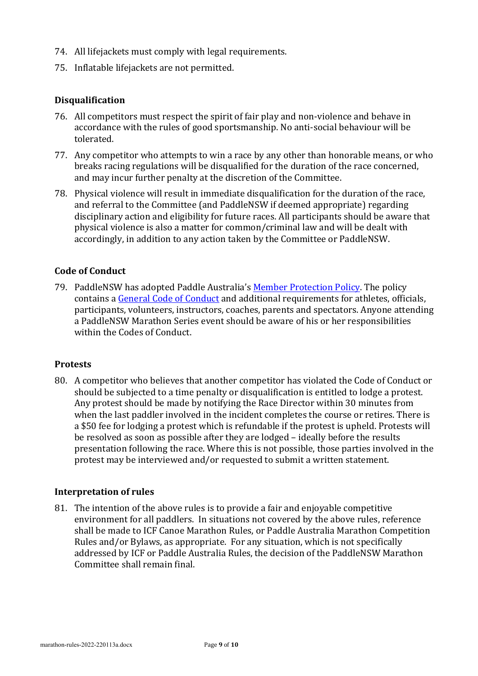- 74. All lifejackets must comply with legal requirements.
- 75. Inflatable lifejackets are not permitted.

# **Disqualification**

- 76. All competitors must respect the spirit of fair play and non-violence and behave in accordance with the rules of good sportsmanship. No anti-social behaviour will be tolerated.
- 77. Any competitor who attempts to win a race by any other than honorable means, or who breaks racing regulations will be disqualified for the duration of the race concerned, and may incur further penalty at the discretion of the Committee.
- 78. Physical violence will result in immediate disqualification for the duration of the race, and referral to the Committee (and PaddleNSW if deemed appropriate) regarding disciplinary action and eligibility for future races. All participants should be aware that physical violence is also a matter for common/criminal law and will be dealt with accordingly, in addition to any action taken by the Committee or PaddleNSW.

# **Code of Conduct**

79. PaddleNSW has adopted Paddle Australia's Member Protection Policy. The policy contains a General Code of Conduct and additional requirements for athletes, officials, participants, volunteers, instructors, coaches, parents and spectators. Anyone attending a PaddleNSW Marathon Series event should be aware of his or her responsibilities within the Codes of Conduct

#### **Protests**

80. A competitor who believes that another competitor has violated the Code of Conduct or should be subjected to a time penalty or disqualification is entitled to lodge a protest. Any protest should be made by notifying the Race Director within 30 minutes from when the last paddler involved in the incident completes the course or retires. There is a \$50 fee for lodging a protest which is refundable if the protest is upheld. Protests will be resolved as soon as possible after they are lodged – ideally before the results presentation following the race. Where this is not possible, those parties involved in the protest may be interviewed and/or requested to submit a written statement.

#### **Interpretation of rules**

81. The intention of the above rules is to provide a fair and enjoyable competitive environment for all paddlers. In situations not covered by the above rules, reference shall be made to ICF Canoe Marathon Rules, or Paddle Australia Marathon Competition Rules and/or Bylaws, as appropriate. For any situation, which is not specifically addressed by ICF or Paddle Australia Rules, the decision of the PaddleNSW Marathon Committee shall remain final.